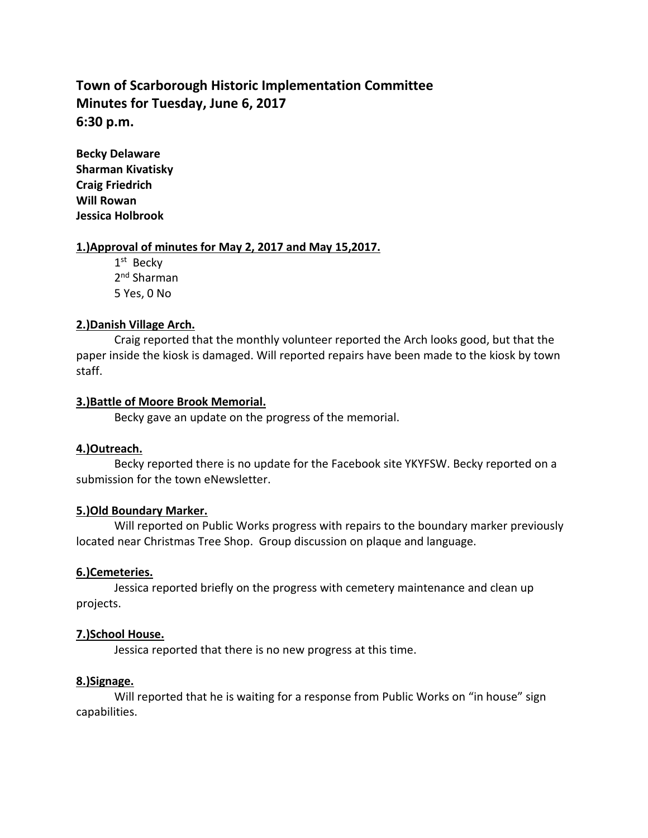# **Town of Scarborough Historic Implementation Committee Minutes for Tuesday, June 6, 2017 6:30 p.m.**

**Becky Delaware Sharman Kivatisky Craig Friedrich Will Rowan Jessica Holbrook**

#### **1.)Approval of minutes for May 2, 2017 and May 15,2017.**

1st Becky 2<sup>nd</sup> Sharman 5 Yes, 0 No

#### **2.)Danish Village Arch.**

Craig reported that the monthly volunteer reported the Arch looks good, but that the paper inside the kiosk is damaged. Will reported repairs have been made to the kiosk by town staff.

#### **3.)Battle of Moore Brook Memorial.**

Becky gave an update on the progress of the memorial.

## **4.)Outreach.**

Becky reported there is no update for the Facebook site YKYFSW. Becky reported on a submission for the town eNewsletter.

## **5.)Old Boundary Marker.**

Will reported on Public Works progress with repairs to the boundary marker previously located near Christmas Tree Shop. Group discussion on plaque and language.

## **6.)Cemeteries.**

Jessica reported briefly on the progress with cemetery maintenance and clean up projects.

#### **7.)School House.**

Jessica reported that there is no new progress at this time.

## **8.)Signage.**

Will reported that he is waiting for a response from Public Works on "in house" sign capabilities.